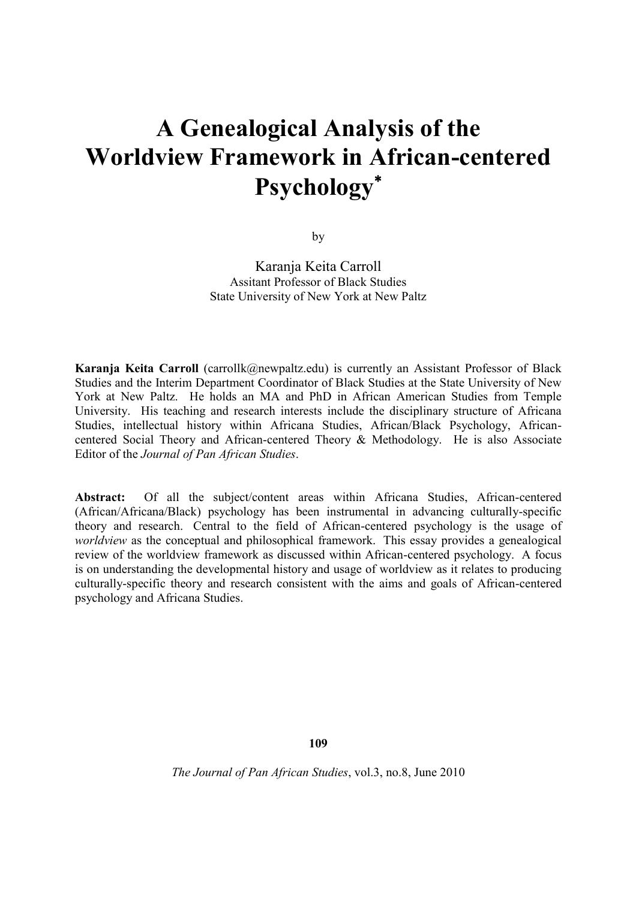# **A Genealogical Analysis of the Worldview Framework in African-centered Psychology**

by

Karanja Keita Carroll Assitant Professor of Black Studies State University of New York at New Paltz

**Karanja Keita Carroll** (carrollk@newpaltz.edu) is currently an Assistant Professor of Black Studies and the Interim Department Coordinator of Black Studies at the State University of New York at New Paltz. He holds an MA and PhD in African American Studies from Temple University. His teaching and research interests include the disciplinary structure of Africana Studies, intellectual history within Africana Studies, African/Black Psychology, Africancentered Social Theory and African-centered Theory & Methodology. He is also Associate Editor of the *Journal of Pan African Studies*.

Abstract: Of all the subject/content areas within Africana Studies, African-centered (African/Africana/Black) psychology has been instrumental in advancing culturally-specific theory and research. Central to the field of African-centered psychology is the usage of *worldview* as the conceptual and philosophical framework. This essay provides a genealogical review of the worldview framework as discussed within African-centered psychology. A focus is on understanding the developmental history and usage of worldview as it relates to producing culturally-specific theory and research consistent with the aims and goals of African-centered psychology and Africana Studies.

**109**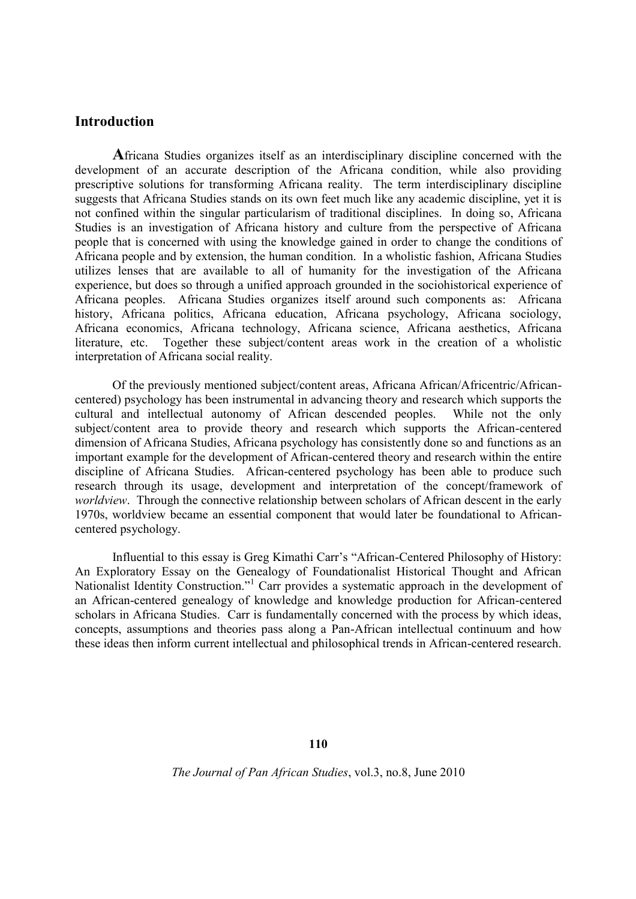## **Introduction**

**A**fricana Studies organizes itself as an interdisciplinary discipline concerned with the development of an accurate description of the Africana condition, while also providing prescriptive solutions for transforming Africana reality. The term interdisciplinary discipline suggests that Africana Studies stands on its own feet much like any academic discipline, yet it is not confined within the singular particularism of traditional disciplines. In doing so, Africana Studies is an investigation of Africana history and culture from the perspective of Africana people that is concerned with using the knowledge gained in order to change the conditions of Africana people and by extension, the human condition. In a wholistic fashion, Africana Studies utilizes lenses that are available to all of humanity for the investigation of the Africana experience, but does so through a unified approach grounded in the sociohistorical experience of Africana peoples. Africana Studies organizes itself around such components as: Africana history, Africana politics, Africana education, Africana psychology, Africana sociology, Africana economics, Africana technology, Africana science, Africana aesthetics, Africana literature, etc. Together these subject/content areas work in the creation of a wholistic interpretation of Africana social reality.

Of the previously mentioned subject/content areas, Africana African/Africentric/Africancentered) psychology has been instrumental in advancing theory and research which supports the cultural and intellectual autonomy of African descended peoples. While not the only subject/content area to provide theory and research which supports the African-centered dimension of Africana Studies, Africana psychology has consistently done so and functions as an important example for the development of African-centered theory and research within the entire discipline of Africana Studies. African-centered psychology has been able to produce such research through its usage, development and interpretation of the concept/framework of *worldview*. Through the connective relationship between scholars of African descent in the early 1970s, worldview became an essential component that would later be foundational to Africancentered psychology.

Influential to this essay is Greg Kimathi Carr's "African-Centered Philosophy of History: An Exploratory Essay on the Genealogy of Foundationalist Historical Thought and African Nationalist Identity Construction."<sup>1</sup> Carr provides a systematic approach in the development of an African-centered genealogy of knowledge and knowledge production for African-centered scholars in Africana Studies. Carr is fundamentally concerned with the process by which ideas, concepts, assumptions and theories pass along a Pan-African intellectual continuum and how these ideas then inform current intellectual and philosophical trends in African-centered research.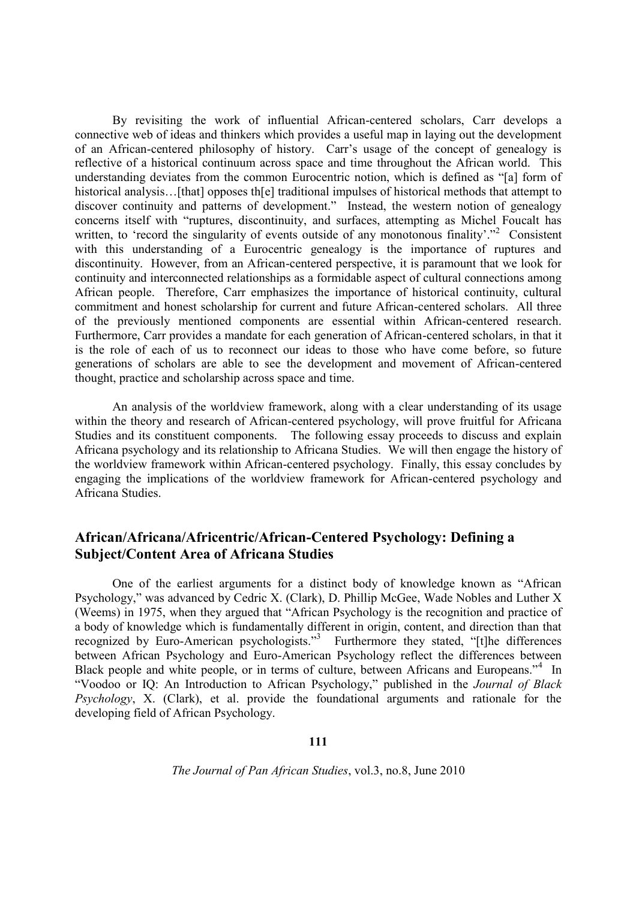By revisiting the work of influential African-centered scholars, Carr develops a connective web of ideas and thinkers which provides a useful map in laying out the development of an African-centered philosophy of history. Carr's usage of the concept of genealogy is reflective of a historical continuum across space and time throughout the African world. This understanding deviates from the common Eurocentric notion, which is defined as "[a] form of historical analysis...[that] opposes th[e] traditional impulses of historical methods that attempt to discover continuity and patterns of development." Instead, the western notion of genealogy concerns itself with "ruptures, discontinuity, and surfaces, attempting as Michel Foucalt has written, to 'record the singularity of events outside of any monotonous finality'."<sup>2</sup> Consistent with this understanding of a Eurocentric genealogy is the importance of ruptures and discontinuity. However, from an African-centered perspective, it is paramount that we look for continuity and interconnected relationships as a formidable aspect of cultural connections among African people. Therefore, Carr emphasizes the importance of historical continuity, cultural commitment and honest scholarship for current and future African-centered scholars. All three of the previously mentioned components are essential within African-centered research. Furthermore, Carr provides a mandate for each generation of African-centered scholars, in that it is the role of each of us to reconnect our ideas to those who have come before, so future generations of scholars are able to see the development and movement of African-centered thought, practice and scholarship across space and time.

An analysis of the worldview framework, along with a clear understanding of its usage within the theory and research of African-centered psychology, will prove fruitful for Africana Studies and its constituent components. The following essay proceeds to discuss and explain Africana psychology and its relationship to Africana Studies. We will then engage the history of the worldview framework within African-centered psychology. Finally, this essay concludes by engaging the implications of the worldview framework for African-centered psychology and Africana Studies.

# **African/Africana/Africentric/African-Centered Psychology: Defining a Subject/Content Area of Africana Studies**

One of the earliest arguments for a distinct body of knowledge known as "African Psychology," was advanced by Cedric X. (Clark), D. Phillip McGee, Wade Nobles and Luther X (Weems) in 1975, when they argued that "African Psychology is the recognition and practice of a body of knowledge which is fundamentally different in origin, content, and direction than that recognized by Euro-American psychologists."<sup>3</sup> Furthermore they stated, "[t]he differences between African Psychology and Euro-American Psychology reflect the differences between Black people and white people, or in terms of culture, between Africans and Europeans."<sup>4</sup> In "Voodoo or IQ: An Introduction to African Psychology," published in the *Journal of Black Psychology*, X. (Clark), et al. provide the foundational arguments and rationale for the developing field of African Psychology.

**111**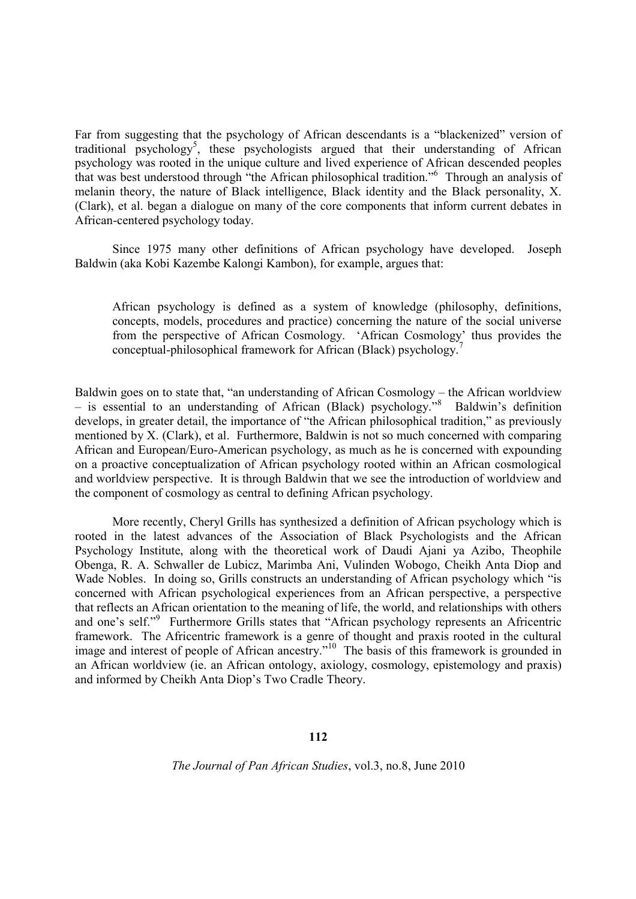Far from suggesting that the psychology of African descendants is a "blackenized" version of traditional psychology<sup>5</sup>, these psychologists argued that their understanding of African psychology was rooted in the unique culture and lived experience of African descended peoples that was best understood through "the African philosophical tradition."<sup>6</sup> Through an analysis of melanin theory, the nature of Black intelligence, Black identity and the Black personality, X. (Clark), et al. began a dialogue on many of the core components that inform current debates in African-centered psychology today.

Since 1975 many other definitions of African psychology have developed. Joseph Baldwin (aka Kobi Kazembe Kalongi Kambon), for example, argues that:

African psychology is defined as a system of knowledge (philosophy, definitions, concepts, models, procedures and practice) concerning the nature of the social universe from the perspective of African Cosmology. 'African Cosmology' thus provides the conceptual-philosophical framework for African (Black) psychology.<sup>7</sup>

Baldwin goes on to state that, "an understanding of African Cosmology – the African worldview – is essential to an understanding of African (Black) psychology."<sup>8</sup> Baldwin's definition develops, in greater detail, the importance of "the African philosophical tradition," as previously mentioned by X. (Clark), et al. Furthermore, Baldwin is not so much concerned with comparing African and European/Euro-American psychology, as much as he is concerned with expounding on a proactive conceptualization of African psychology rooted within an African cosmological and worldview perspective. It is through Baldwin that we see the introduction of worldview and the component of cosmology as central to defining African psychology.

More recently, Cheryl Grills has synthesized a definition of African psychology which is rooted in the latest advances of the Association of Black Psychologists and the African Psychology Institute, along with the theoretical work of Daudi Ajani ya Azibo, Theophile Obenga, R. A. Schwaller de Lubicz, Marimba Ani, Vulinden Wobogo, Cheikh Anta Diop and Wade Nobles. In doing so, Grills constructs an understanding of African psychology which "is concerned with African psychological experiences from an African perspective, a perspective that reflects an African orientation to the meaning of life, the world, and relationships with others and one's self."<sup>9</sup> Furthermore Grills states that "African psychology represents an Africentric framework. The Africentric framework is a genre of thought and praxis rooted in the cultural image and interest of people of African ancestry.<sup>"10</sup> The basis of this framework is grounded in an African worldview (ie. an African ontology, axiology, cosmology, epistemology and praxis) and informed by Cheikh Anta Diop's Two Cradle Theory.

#### **112**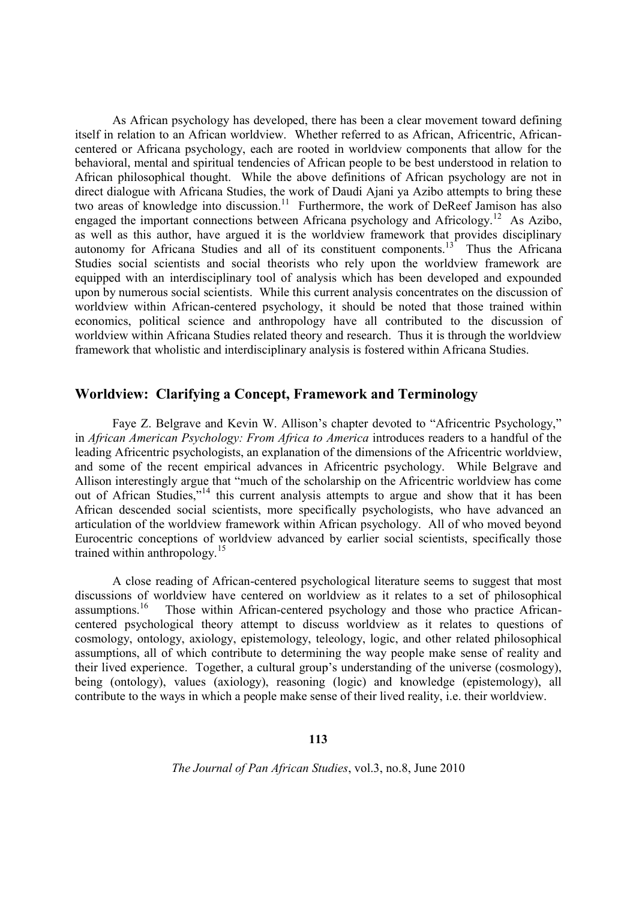As African psychology has developed, there has been a clear movement toward defining itself in relation to an African worldview. Whether referred to as African, Africentric, Africancentered or Africana psychology, each are rooted in worldview components that allow for the behavioral, mental and spiritual tendencies of African people to be best understood in relation to African philosophical thought. While the above definitions of African psychology are not in direct dialogue with Africana Studies, the work of Daudi Ajani ya Azibo attempts to bring these two areas of knowledge into discussion.<sup>11</sup> Furthermore, the work of DeReef Jamison has also engaged the important connections between Africana psychology and Africology.<sup>12</sup> As Azibo, as well as this author, have argued it is the worldview framework that provides disciplinary autonomy for Africana Studies and all of its constituent components.<sup>13</sup> Thus the Africana Studies social scientists and social theorists who rely upon the worldview framework are equipped with an interdisciplinary tool of analysis which has been developed and expounded upon by numerous social scientists. While this current analysis concentrates on the discussion of worldview within African-centered psychology, it should be noted that those trained within economics, political science and anthropology have all contributed to the discussion of worldview within Africana Studies related theory and research. Thus it is through the worldview framework that wholistic and interdisciplinary analysis is fostered within Africana Studies.

# **Worldview: Clarifying a Concept, Framework and Terminology**

Faye Z. Belgrave and Kevin W. Allison's chapter devoted to "Africentric Psychology," in *African American Psychology: From Africa to America* introduces readers to a handful of the leading Africentric psychologists, an explanation of the dimensions of the Africentric worldview, and some of the recent empirical advances in Africentric psychology. While Belgrave and Allison interestingly argue that "much of the scholarship on the Africentric worldview has come out of African Studies,"<sup>14</sup> this current analysis attempts to argue and show that it has been African descended social scientists, more specifically psychologists, who have advanced an articulation of the worldview framework within African psychology. All of who moved beyond Eurocentric conceptions of worldview advanced by earlier social scientists, specifically those trained within anthropology.<sup>15</sup>

A close reading of African-centered psychological literature seems to suggest that most discussions of worldview have centered on worldview as it relates to a set of philosophical assumptions.<sup>16</sup> Those within African-centered psychology and those who practice African-Those within African-centered psychology and those who practice Africancentered psychological theory attempt to discuss worldview as it relates to questions of cosmology, ontology, axiology, epistemology, teleology, logic, and other related philosophical assumptions, all of which contribute to determining the way people make sense of reality and their lived experience. Together, a cultural group's understanding of the universe (cosmology), being (ontology), values (axiology), reasoning (logic) and knowledge (epistemology), all contribute to the ways in which a people make sense of their lived reality, i.e. their worldview.

#### **113**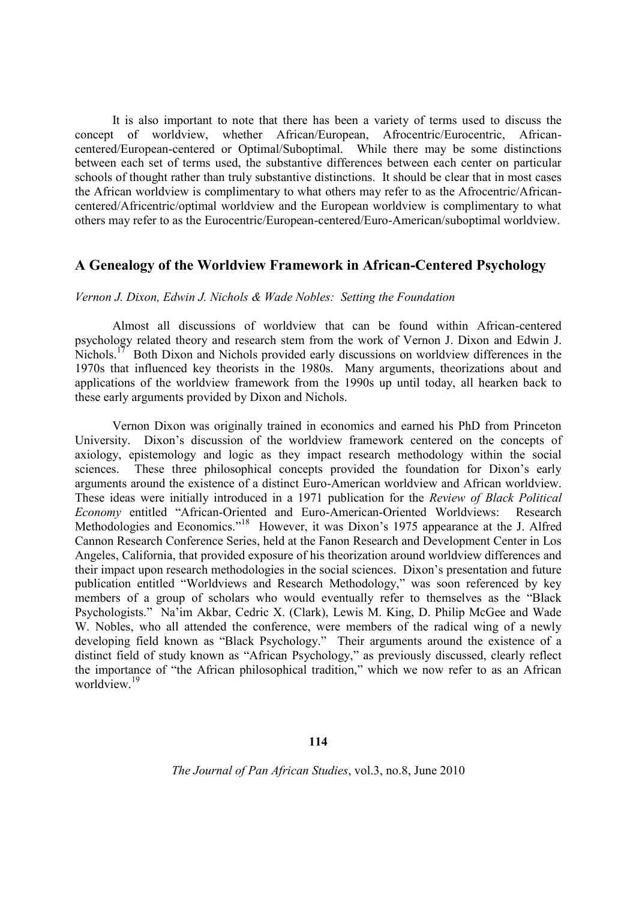It is also important to note that there has been a variety of terms used to discuss the concept of worldview, whether African/European, Afrocentric/Eurocentric, Africancentered/European-centered or Optimal/Suboptimal. While there may be some distinctions between each set of terms used, the substantive differences between each center on particular schools of thought rather than truly substantive distinctions. It should be clear that in most cases the African worldview is complimentary to what others may refer to as the Afrocentric/Africancentered/Africentric/optimal worldview and the European worldview is complimentary to what others may refer to as the Eurocentric/European-centered/Euro-American/suboptimal worldview.

### **A Genealogy of the Worldview Framework in African-Centered Psychology**

#### *Vernon J. Dixon, Edwin J. Nichols & Wade Nobles: Setting the Foundation*

Almost all discussions of worldview that can be found within African-centered psychology related theory and research stem from the work of Vernon J. Dixon and Edwin J. Nichols.<sup>17</sup> Both Dixon and Nichols provided early discussions on worldview differences in the 1970s that influenced key theorists in the 1980s. Many arguments, theorizations about and applications of the worldview framework from the 1990s up until today, all hearken back to these early arguments provided by Dixon and Nichols.

Vernon Dixon was originally trained in economics and earned his PhD from Princeton University. Dixon's discussion of the worldview framework centered on the concepts of axiology, epistemology and logic as they impact research methodology within the social sciences. These three philosophical concepts provided the foundation for Dixon's early arguments around the existence of a distinct Euro-American worldview and African worldview. These ideas were initially introduced in a 1971 publication for the *Review of Black Political Economy* entitled "African-Oriented and Euro-American-Oriented Worldviews: Research Methodologies and Economics."<sup>18</sup> However, it was Dixon's 1975 appearance at the J. Alfred Cannon Research Conference Series, held at the Fanon Research and Development Center in Los Angeles, California, that provided exposure of his theorization around worldview differences and their impact upon research methodologies in the social sciences. Dixon's presentation and future publication entitled "Worldviews and Research Methodology," was soon referenced by key members of a group of scholars who would eventually refer to themselves as the "Black Psychologists." Na'im Akbar, Cedric X. (Clark), Lewis M. King, D. Philip McGee and Wade W. Nobles, who all attended the conference, were members of the radical wing of a newly developing field known as "Black Psychology." Their arguments around the existence of a distinct field of study known as "African Psychology," as previously discussed, clearly reflect the importance of "the African philosophical tradition," which we now refer to as an African worldview.<sup>19</sup>

## **114**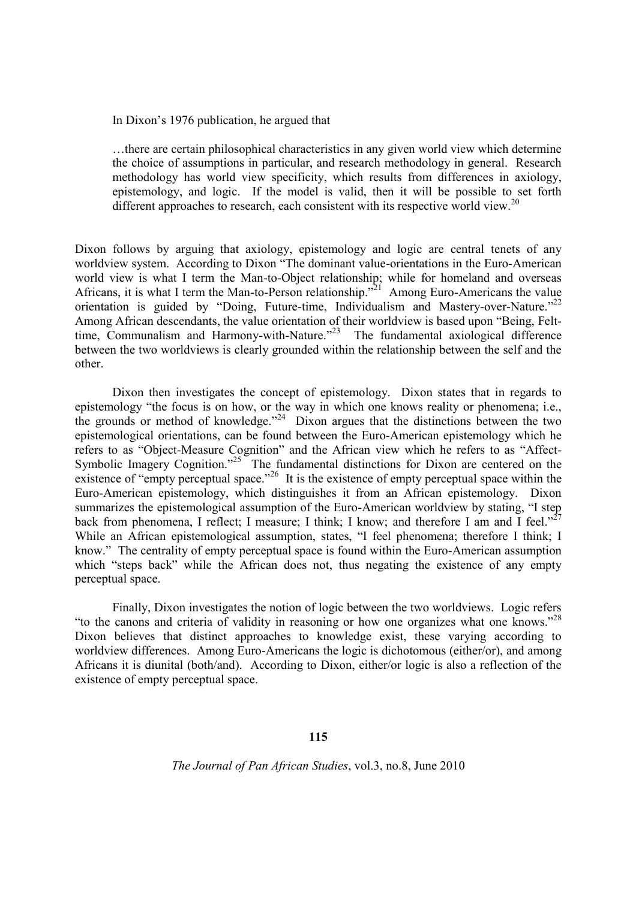In Dixon's 1976 publication, he argued that

…there are certain philosophical characteristics in any given world view which determine the choice of assumptions in particular, and research methodology in general. Research methodology has world view specificity, which results from differences in axiology, epistemology, and logic. If the model is valid, then it will be possible to set forth different approaches to research, each consistent with its respective world view.<sup>20</sup>

Dixon follows by arguing that axiology, epistemology and logic are central tenets of any worldview system. According to Dixon "The dominant value-orientations in the Euro-American world view is what I term the Man-to-Object relationship; while for homeland and overseas Africans, it is what I term the Man-to-Person relationship.<sup>"21</sup> Among Euro-Americans the value orientation is guided by "Doing, Future-time, Individualism and Mastery-over-Nature."<sup>22</sup> Among African descendants, the value orientation of their worldview is based upon "Being, Felttime, Communalism and Harmony-with-Nature.<sup> $23$ </sup> The fundamental axiological difference between the two worldviews is clearly grounded within the relationship between the self and the other.

Dixon then investigates the concept of epistemology. Dixon states that in regards to epistemology "the focus is on how, or the way in which one knows reality or phenomena; i.e., the grounds or method of knowledge."<sup>24</sup> Dixon argues that the distinctions between the two epistemological orientations, can be found between the Euro-American epistemology which he refers to as "Object-Measure Cognition" and the African view which he refers to as "Affect-Symbolic Imagery Cognition."<sup>25</sup> The fundamental distinctions for Dixon are centered on the existence of "empty perceptual space."<sup>26</sup> It is the existence of empty perceptual space within the Euro-American epistemology, which distinguishes it from an African epistemology. Dixon summarizes the epistemological assumption of the Euro-American worldview by stating, "I step back from phenomena, I reflect; I measure; I think; I know; and therefore I am and I feel."<sup>27</sup> While an African epistemological assumption, states, "I feel phenomena; therefore I think; I know." The centrality of empty perceptual space is found within the Euro-American assumption which "steps back" while the African does not, thus negating the existence of any empty perceptual space.

Finally, Dixon investigates the notion of logic between the two worldviews. Logic refers "to the canons and criteria of validity in reasoning or how one organizes what one knows."<sup>28</sup> Dixon believes that distinct approaches to knowledge exist, these varying according to worldview differences. Among Euro-Americans the logic is dichotomous (either/or), and among Africans it is diunital (both/and). According to Dixon, either/or logic is also a reflection of the existence of empty perceptual space.

#### **115**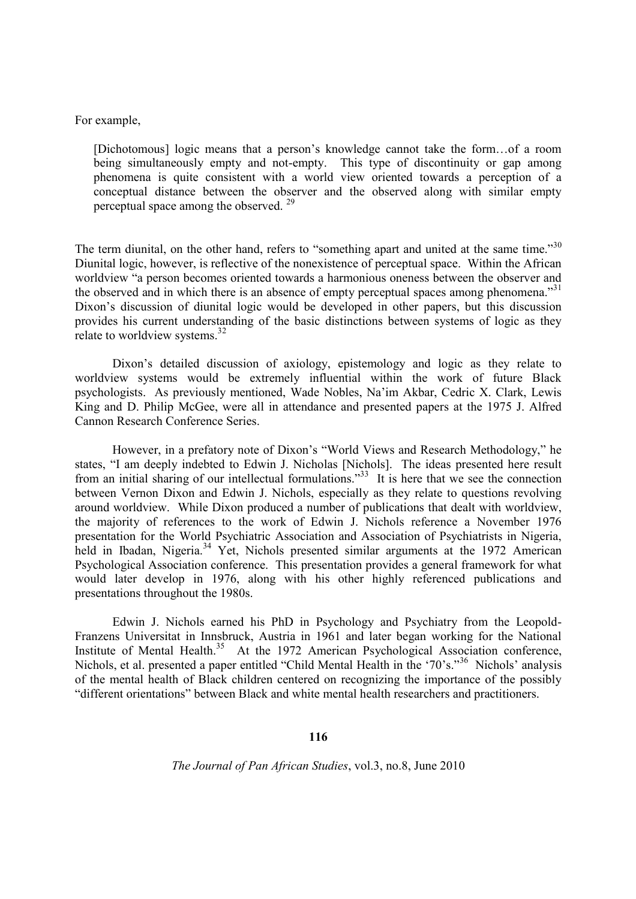#### For example,

[Dichotomous] logic means that a person's knowledge cannot take the form…of a room being simultaneously empty and not-empty. This type of discontinuity or gap among phenomena is quite consistent with a world view oriented towards a perception of a conceptual distance between the observer and the observed along with similar empty perceptual space among the observed. <sup>29</sup>

The term diunital, on the other hand, refers to "something apart and united at the same time."<sup>30</sup> Diunital logic, however, is reflective of the nonexistence of perceptual space. Within the African worldview "a person becomes oriented towards a harmonious oneness between the observer and the observed and in which there is an absence of empty perceptual spaces among phenomena.<sup>331</sup> Dixon's discussion of diunital logic would be developed in other papers, but this discussion provides his current understanding of the basic distinctions between systems of logic as they relate to worldview systems.<sup>32</sup>

Dixon's detailed discussion of axiology, epistemology and logic as they relate to worldview systems would be extremely influential within the work of future Black psychologists. As previously mentioned, Wade Nobles, Na'im Akbar, Cedric X. Clark, Lewis King and D. Philip McGee, were all in attendance and presented papers at the 1975 J. Alfred Cannon Research Conference Series.

However, in a prefatory note of Dixon's "World Views and Research Methodology," he states, "I am deeply indebted to Edwin J. Nicholas [Nichols]. The ideas presented here result from an initial sharing of our intellectual formulations.<sup>33</sup> It is here that we see the connection between Vernon Dixon and Edwin J. Nichols, especially as they relate to questions revolving around worldview. While Dixon produced a number of publications that dealt with worldview, the majority of references to the work of Edwin J. Nichols reference a November 1976 presentation for the World Psychiatric Association and Association of Psychiatrists in Nigeria, held in Ibadan, Nigeria.<sup>34</sup> Yet, Nichols presented similar arguments at the 1972 American Psychological Association conference. This presentation provides a general framework for what would later develop in 1976, along with his other highly referenced publications and presentations throughout the 1980s.

Edwin J. Nichols earned his PhD in Psychology and Psychiatry from the Leopold-Franzens Universitat in Innsbruck, Austria in 1961 and later began working for the National Institute of Mental Health.<sup>35</sup> At the 1972 American Psychological Association conference, Nichols, et al. presented a paper entitled "Child Mental Health in the '70's."<sup>36</sup> Nichols' analysis of the mental health of Black children centered on recognizing the importance of the possibly "different orientations" between Black and white mental health researchers and practitioners.

#### **116**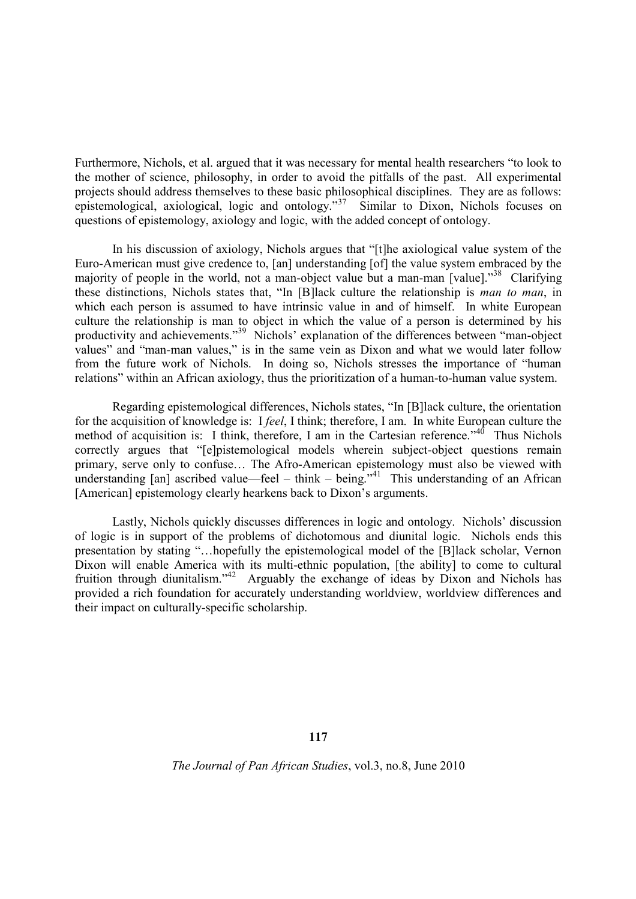Furthermore, Nichols, et al. argued that it was necessary for mental health researchers "to look to the mother of science, philosophy, in order to avoid the pitfalls of the past. All experimental projects should address themselves to these basic philosophical disciplines. They are as follows: epistemological, axiological, logic and ontology."<sup>37</sup> Similar to Dixon, Nichols focuses on questions of epistemology, axiology and logic, with the added concept of ontology.

In his discussion of axiology, Nichols argues that "[t]he axiological value system of the Euro-American must give credence to, [an] understanding [of] the value system embraced by the majority of people in the world, not a man-object value but a man-man [value]."<sup>38</sup> Clarifying these distinctions, Nichols states that, "In [B]lack culture the relationship is *man to man*, in which each person is assumed to have intrinsic value in and of himself. In white European culture the relationship is man to object in which the value of a person is determined by his productivity and achievements."<sup>39</sup> Nichols' explanation of the differences between "man-object values" and "man-man values," is in the same vein as Dixon and what we would later follow from the future work of Nichols. In doing so, Nichols stresses the importance of "human relations" within an African axiology, thus the prioritization of a human-to-human value system.

Regarding epistemological differences, Nichols states, "In [B]lack culture, the orientation for the acquisition of knowledge is: I *feel*, I think; therefore, I am. In white European culture the method of acquisition is: I think, therefore, I am in the Cartesian reference.<sup>346</sup> Thus Nichols correctly argues that "[e]pistemological models wherein subject-object questions remain primary, serve only to confuse… The Afro-American epistemology must also be viewed with understanding  $\lceil$ an] ascribed value—feel – think – being.<sup>341</sup> This understanding of an African [American] epistemology clearly hearkens back to Dixon's arguments.

Lastly, Nichols quickly discusses differences in logic and ontology. Nichols' discussion of logic is in support of the problems of dichotomous and diunital logic. Nichols ends this presentation by stating "…hopefully the epistemological model of the [B]lack scholar, Vernon Dixon will enable America with its multi-ethnic population, [the ability] to come to cultural fruition through diunitalism."<sup>42</sup> Arguably the exchange of ideas by Dixon and Nichols has provided a rich foundation for accurately understanding worldview, worldview differences and their impact on culturally-specific scholarship.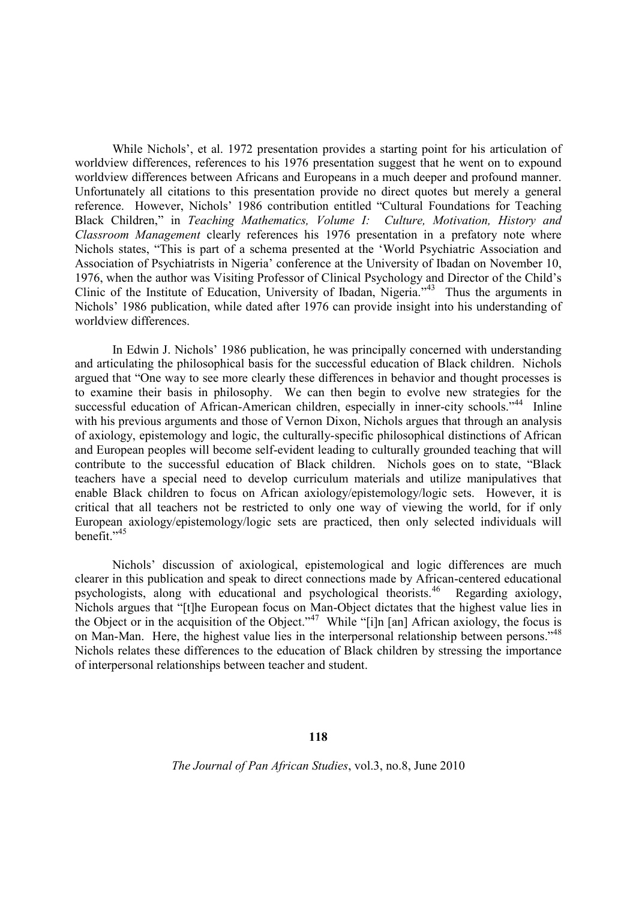While Nichols', et al. 1972 presentation provides a starting point for his articulation of worldview differences, references to his 1976 presentation suggest that he went on to expound worldview differences between Africans and Europeans in a much deeper and profound manner. Unfortunately all citations to this presentation provide no direct quotes but merely a general reference. However, Nichols' 1986 contribution entitled "Cultural Foundations for Teaching Black Children," in *Teaching Mathematics, Volume I: Culture, Motivation, History and Classroom Management* clearly references his 1976 presentation in a prefatory note where Nichols states, "This is part of a schema presented at the 'World Psychiatric Association and Association of Psychiatrists in Nigeria' conference at the University of Ibadan on November 10, 1976, when the author was Visiting Professor of Clinical Psychology and Director of the Child's Clinic of the Institute of Education, University of Ibadan, Nigeria."<sup>43</sup> Thus the arguments in Nichols' 1986 publication, while dated after 1976 can provide insight into his understanding of worldview differences.

In Edwin J. Nichols' 1986 publication, he was principally concerned with understanding and articulating the philosophical basis for the successful education of Black children. Nichols argued that "One way to see more clearly these differences in behavior and thought processes is to examine their basis in philosophy. We can then begin to evolve new strategies for the successful education of African-American children, especially in inner-city schools."<sup>44</sup> Inline with his previous arguments and those of Vernon Dixon, Nichols argues that through an analysis of axiology, epistemology and logic, the culturally-specific philosophical distinctions of African and European peoples will become self-evident leading to culturally grounded teaching that will contribute to the successful education of Black children. Nichols goes on to state, "Black teachers have a special need to develop curriculum materials and utilize manipulatives that enable Black children to focus on African axiology/epistemology/logic sets. However, it is critical that all teachers not be restricted to only one way of viewing the world, for if only European axiology/epistemology/logic sets are practiced, then only selected individuals will benefit $^{3,45}$ 

Nichols' discussion of axiological, epistemological and logic differences are much clearer in this publication and speak to direct connections made by African-centered educational psychologists, along with educational and psychological theorists.<sup>46</sup> Regarding axiology, Nichols argues that "[t]he European focus on Man-Object dictates that the highest value lies in the Object or in the acquisition of the Object."<sup>47</sup> While "[i]n [an] African axiology, the focus is on Man-Man. Here, the highest value lies in the interpersonal relationship between persons."<sup>48</sup> Nichols relates these differences to the education of Black children by stressing the importance of interpersonal relationships between teacher and student.

#### **118**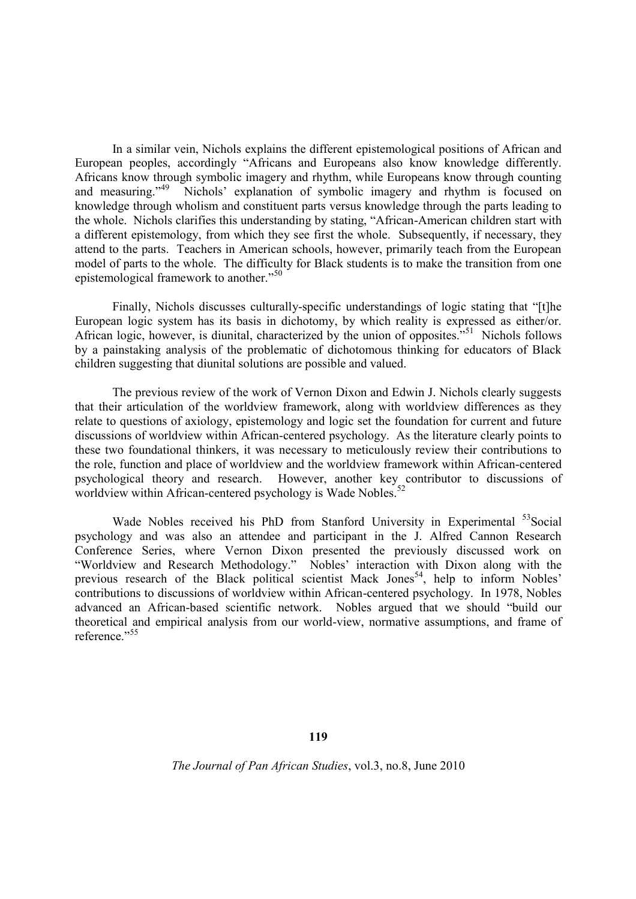In a similar vein, Nichols explains the different epistemological positions of African and European peoples, accordingly "Africans and Europeans also know knowledge differently. Africans know through symbolic imagery and rhythm, while Europeans know through counting and measuring."<sup>49</sup> Nichols' explanation of symbolic imagery and rhythm is focused on knowledge through wholism and constituent parts versus knowledge through the parts leading to the whole. Nichols clarifies this understanding by stating, "African-American children start with a different epistemology, from which they see first the whole. Subsequently, if necessary, they attend to the parts. Teachers in American schools, however, primarily teach from the European model of parts to the whole. The difficulty for Black students is to make the transition from one epistemological framework to another."<sup>50</sup>

Finally, Nichols discusses culturally-specific understandings of logic stating that "[t]he European logic system has its basis in dichotomy, by which reality is expressed as either/or. African logic, however, is diunital, characterized by the union of opposites.<sup> $551$ </sup> Nichols follows by a painstaking analysis of the problematic of dichotomous thinking for educators of Black children suggesting that diunital solutions are possible and valued.

The previous review of the work of Vernon Dixon and Edwin J. Nichols clearly suggests that their articulation of the worldview framework, along with worldview differences as they relate to questions of axiology, epistemology and logic set the foundation for current and future discussions of worldview within African-centered psychology. As the literature clearly points to these two foundational thinkers, it was necessary to meticulously review their contributions to the role, function and place of worldview and the worldview framework within African-centered psychological theory and research. However, another key contributor to discussions of worldview within African-centered psychology is Wade Nobles.<sup>5</sup>

Wade Nobles received his PhD from Stanford University in Experimental <sup>53</sup>Social psychology and was also an attendee and participant in the J. Alfred Cannon Research Conference Series, where Vernon Dixon presented the previously discussed work on "Worldview and Research Methodology." Nobles' interaction with Dixon along with the previous research of the Black political scientist Mack Jones<sup>54</sup>, help to inform Nobles' contributions to discussions of worldview within African-centered psychology. In 1978, Nobles advanced an African-based scientific network. Nobles argued that we should "build our theoretical and empirical analysis from our world-view, normative assumptions, and frame of reference."<sup>55</sup>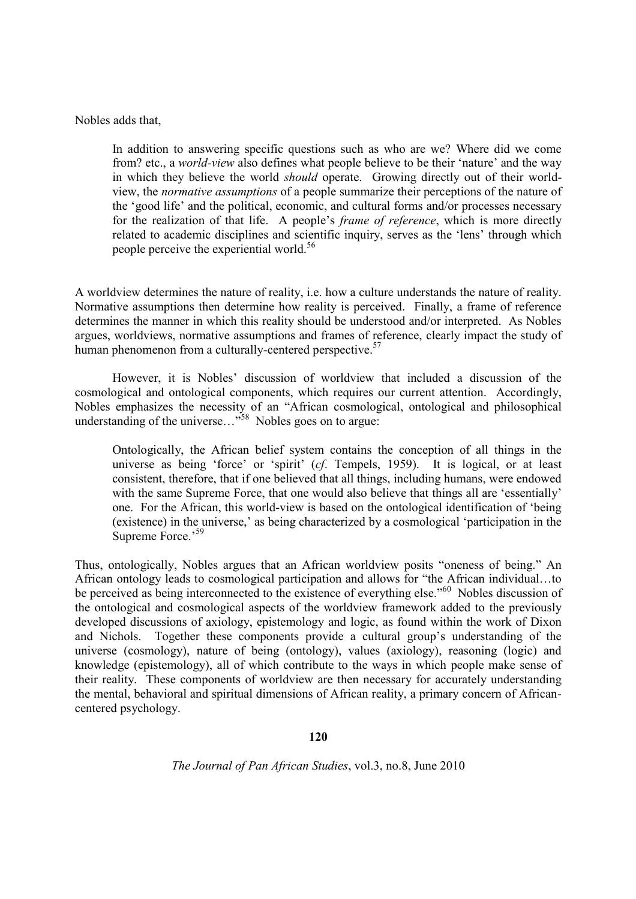Nobles adds that,

In addition to answering specific questions such as who are we? Where did we come from? etc., a *world-view* also defines what people believe to be their 'nature' and the way in which they believe the world *should* operate. Growing directly out of their worldview, the *normative assumptions* of a people summarize their perceptions of the nature of the 'good life' and the political, economic, and cultural forms and/or processes necessary for the realization of that life. A people's *frame of reference*, which is more directly related to academic disciplines and scientific inquiry, serves as the 'lens' through which people perceive the experiential world.<sup>56</sup>

A worldview determines the nature of reality, i.e. how a culture understands the nature of reality. Normative assumptions then determine how reality is perceived. Finally, a frame of reference determines the manner in which this reality should be understood and/or interpreted. As Nobles argues, worldviews, normative assumptions and frames of reference, clearly impact the study of human phenomenon from a culturally-centered perspective.<sup>57</sup>

However, it is Nobles' discussion of worldview that included a discussion of the cosmological and ontological components, which requires our current attention. Accordingly, Nobles emphasizes the necessity of an "African cosmological, ontological and philosophical understanding of the universe..."<sup>58</sup> Nobles goes on to argue:

Ontologically, the African belief system contains the conception of all things in the universe as being 'force' or 'spirit' (*cf*. Tempels, 1959). It is logical, or at least consistent, therefore, that if one believed that all things, including humans, were endowed with the same Supreme Force, that one would also believe that things all are 'essentially' one. For the African, this world-view is based on the ontological identification of 'being (existence) in the universe,' as being characterized by a cosmological 'participation in the Supreme Force.<sup>59</sup>

Thus, ontologically, Nobles argues that an African worldview posits "oneness of being." An African ontology leads to cosmological participation and allows for "the African individual…to be perceived as being interconnected to the existence of everything else."<sup>60</sup> Nobles discussion of the ontological and cosmological aspects of the worldview framework added to the previously developed discussions of axiology, epistemology and logic, as found within the work of Dixon and Nichols. Together these components provide a cultural group's understanding of the universe (cosmology), nature of being (ontology), values (axiology), reasoning (logic) and knowledge (epistemology), all of which contribute to the ways in which people make sense of their reality. These components of worldview are then necessary for accurately understanding the mental, behavioral and spiritual dimensions of African reality, a primary concern of Africancentered psychology.

**120**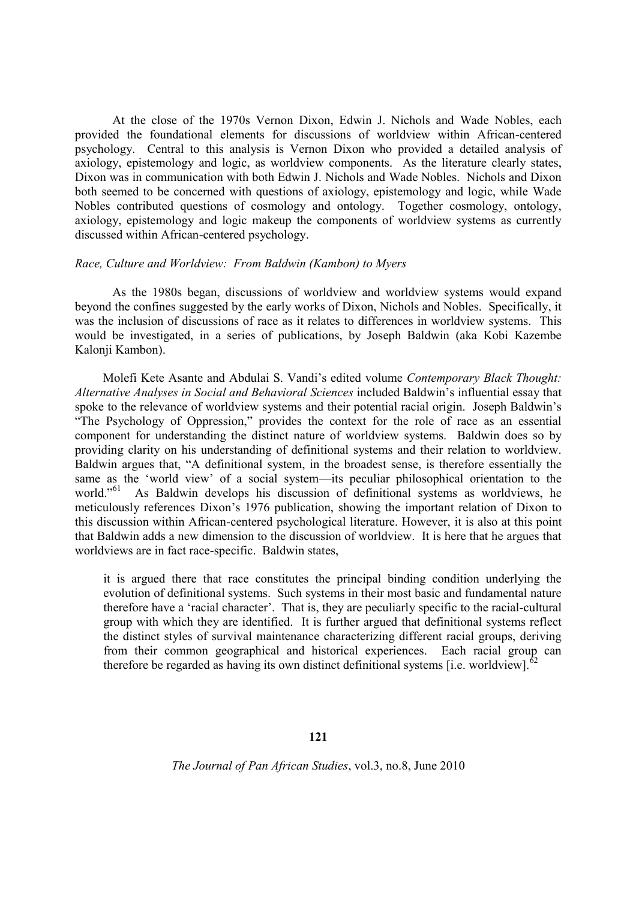At the close of the 1970s Vernon Dixon, Edwin J. Nichols and Wade Nobles, each provided the foundational elements for discussions of worldview within African-centered psychology. Central to this analysis is Vernon Dixon who provided a detailed analysis of axiology, epistemology and logic, as worldview components. As the literature clearly states, Dixon was in communication with both Edwin J. Nichols and Wade Nobles. Nichols and Dixon both seemed to be concerned with questions of axiology, epistemology and logic, while Wade Nobles contributed questions of cosmology and ontology. Together cosmology, ontology, axiology, epistemology and logic makeup the components of worldview systems as currently discussed within African-centered psychology.

#### *Race, Culture and Worldview: From Baldwin (Kambon) to Myers*

As the 1980s began, discussions of worldview and worldview systems would expand beyond the confines suggested by the early works of Dixon, Nichols and Nobles. Specifically, it was the inclusion of discussions of race as it relates to differences in worldview systems. This would be investigated, in a series of publications, by Joseph Baldwin (aka Kobi Kazembe Kalonji Kambon).

Molefi Kete Asante and Abdulai S. Vandi's edited volume *Contemporary Black Thought: Alternative Analyses in Social and Behavioral Sciences* included Baldwin's influential essay that spoke to the relevance of worldview systems and their potential racial origin. Joseph Baldwin's "The Psychology of Oppression," provides the context for the role of race as an essential component for understanding the distinct nature of worldview systems. Baldwin does so by providing clarity on his understanding of definitional systems and their relation to worldview. Baldwin argues that, "A definitional system, in the broadest sense, is therefore essentially the same as the 'world view' of a social system—its peculiar philosophical orientation to the world."<sup>61</sup> As Baldwin develops his discussion of definitional systems as worldviews, he meticulously references Dixon's 1976 publication, showing the important relation of Dixon to this discussion within African-centered psychological literature. However, it is also at this point that Baldwin adds a new dimension to the discussion of worldview. It is here that he argues that worldviews are in fact race-specific. Baldwin states,

it is argued there that race constitutes the principal binding condition underlying the evolution of definitional systems. Such systems in their most basic and fundamental nature therefore have a 'racial character'. That is, they are peculiarly specific to the racial-cultural group with which they are identified. It is further argued that definitional systems reflect the distinct styles of survival maintenance characterizing different racial groups, deriving from their common geographical and historical experiences. Each racial group can therefore be regarded as having its own distinct definitional systems  $[i.e.$  worldview].<sup>62</sup>

#### **121**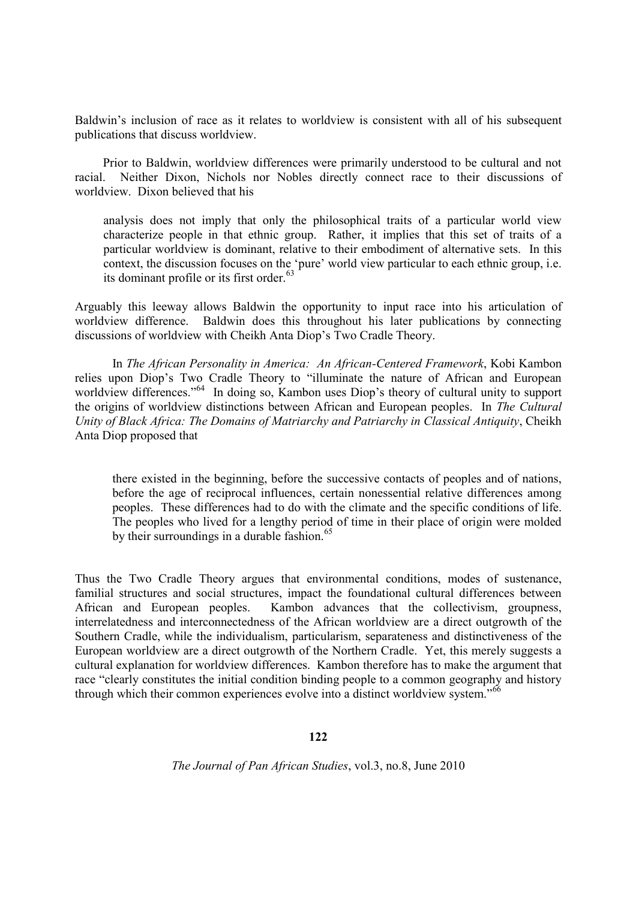Baldwin's inclusion of race as it relates to worldview is consistent with all of his subsequent publications that discuss worldview.

Prior to Baldwin, worldview differences were primarily understood to be cultural and not racial. Neither Dixon, Nichols nor Nobles directly connect race to their discussions of worldview. Dixon believed that his

analysis does not imply that only the philosophical traits of a particular world view characterize people in that ethnic group. Rather, it implies that this set of traits of a particular worldview is dominant, relative to their embodiment of alternative sets. In this context, the discussion focuses on the 'pure' world view particular to each ethnic group, i.e. its dominant profile or its first order. $63$ 

Arguably this leeway allows Baldwin the opportunity to input race into his articulation of worldview difference. Baldwin does this throughout his later publications by connecting discussions of worldview with Cheikh Anta Diop's Two Cradle Theory.

In *The African Personality in America: An African-Centered Framework*, Kobi Kambon relies upon Diop's Two Cradle Theory to "illuminate the nature of African and European worldview differences."<sup>64</sup> In doing so, Kambon uses Diop's theory of cultural unity to support the origins of worldview distinctions between African and European peoples. In *The Cultural Unity of Black Africa: The Domains of Matriarchy and Patriarchy in Classical Antiquity*, Cheikh Anta Diop proposed that

there existed in the beginning, before the successive contacts of peoples and of nations, before the age of reciprocal influences, certain nonessential relative differences among peoples. These differences had to do with the climate and the specific conditions of life. The peoples who lived for a lengthy period of time in their place of origin were molded by their surroundings in a durable fashion. $65$ 

Thus the Two Cradle Theory argues that environmental conditions, modes of sustenance, familial structures and social structures, impact the foundational cultural differences between African and European peoples. Kambon advances that the collectivism, groupness, interrelatedness and interconnectedness of the African worldview are a direct outgrowth of the Southern Cradle, while the individualism, particularism, separateness and distinctiveness of the European worldview are a direct outgrowth of the Northern Cradle. Yet, this merely suggests a cultural explanation for worldview differences. Kambon therefore has to make the argument that race "clearly constitutes the initial condition binding people to a common geography and history through which their common experiences evolve into a distinct worldview system."<sup>66</sup>

#### **122**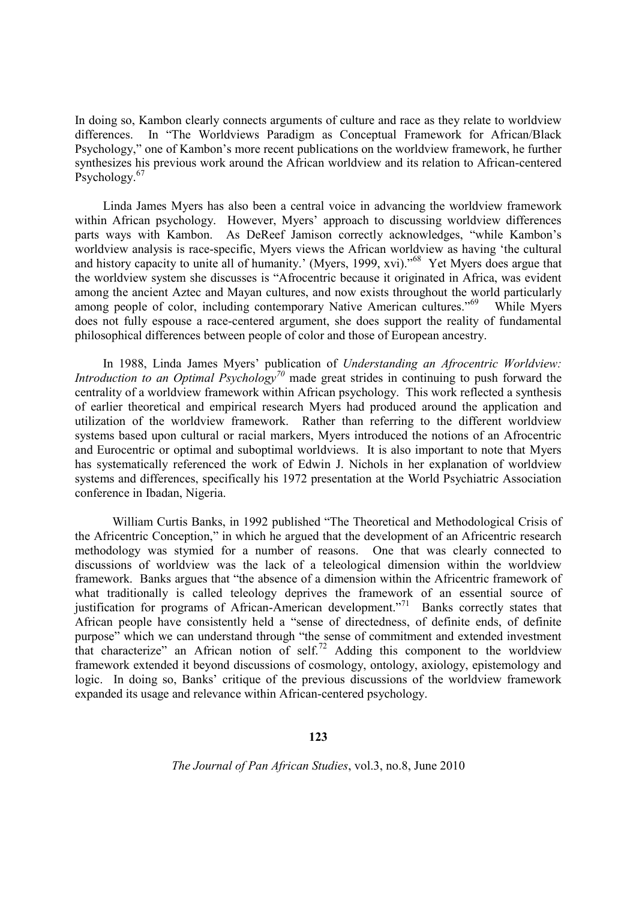In doing so, Kambon clearly connects arguments of culture and race as they relate to worldview differences. In "The Worldviews Paradigm as Conceptual Framework for African/Black Psychology," one of Kambon's more recent publications on the worldview framework, he further synthesizes his previous work around the African worldview and its relation to African-centered Psychology.<sup>67</sup>

Linda James Myers has also been a central voice in advancing the worldview framework within African psychology. However, Myers' approach to discussing worldview differences parts ways with Kambon. As DeReef Jamison correctly acknowledges, "while Kambon's worldview analysis is race-specific, Myers views the African worldview as having 'the cultural and history capacity to unite all of humanity.' (Myers, 1999, xvi)."<sup>68</sup> Yet Myers does argue that the worldview system she discusses is "Afrocentric because it originated in Africa, was evident among the ancient Aztec and Mayan cultures, and now exists throughout the world particularly among people of color, including contemporary Native American cultures."<sup>69</sup> While Myers does not fully espouse a race-centered argument, she does support the reality of fundamental philosophical differences between people of color and those of European ancestry.

In 1988, Linda James Myers' publication of *Understanding an Afrocentric Worldview: Introduction to an Optimal Psychology<sup>70</sup>* made great strides in continuing to push forward the centrality of a worldview framework within African psychology. This work reflected a synthesis of earlier theoretical and empirical research Myers had produced around the application and utilization of the worldview framework. Rather than referring to the different worldview systems based upon cultural or racial markers, Myers introduced the notions of an Afrocentric and Eurocentric or optimal and suboptimal worldviews. It is also important to note that Myers has systematically referenced the work of Edwin J. Nichols in her explanation of worldview systems and differences, specifically his 1972 presentation at the World Psychiatric Association conference in Ibadan, Nigeria.

William Curtis Banks, in 1992 published "The Theoretical and Methodological Crisis of the Africentric Conception," in which he argued that the development of an Africentric research methodology was stymied for a number of reasons. One that was clearly connected to discussions of worldview was the lack of a teleological dimension within the worldview framework. Banks argues that "the absence of a dimension within the Africentric framework of what traditionally is called teleology deprives the framework of an essential source of justification for programs of African-American development."<sup>71</sup> Banks correctly states that African people have consistently held a "sense of directedness, of definite ends, of definite purpose" which we can understand through "the sense of commitment and extended investment that characterize" an African notion of self.<sup>72</sup> Adding this component to the worldview framework extended it beyond discussions of cosmology, ontology, axiology, epistemology and logic. In doing so, Banks' critique of the previous discussions of the worldview framework expanded its usage and relevance within African-centered psychology.

#### **123**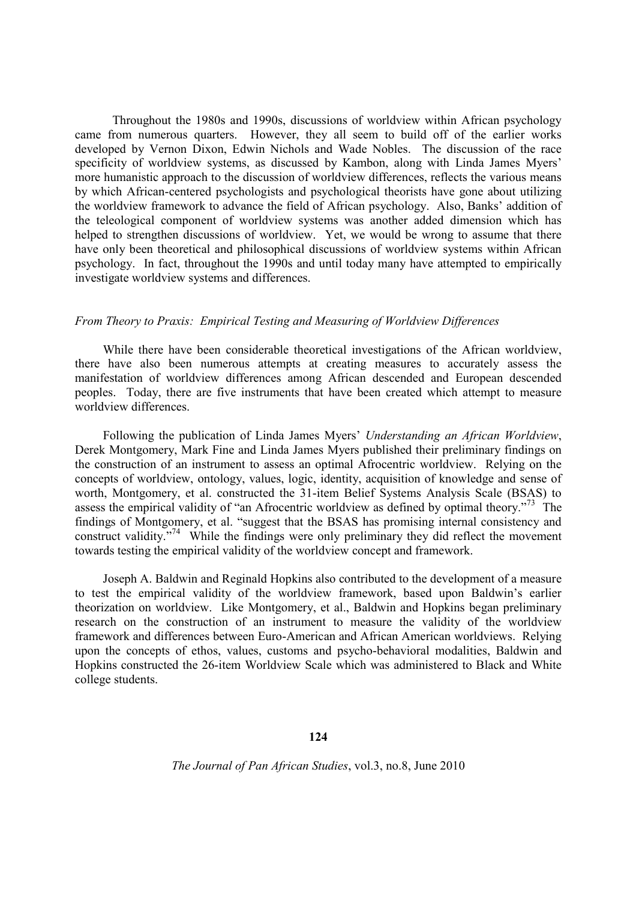Throughout the 1980s and 1990s, discussions of worldview within African psychology came from numerous quarters. However, they all seem to build off of the earlier works developed by Vernon Dixon, Edwin Nichols and Wade Nobles. The discussion of the race specificity of worldview systems, as discussed by Kambon, along with Linda James Myers' more humanistic approach to the discussion of worldview differences, reflects the various means by which African-centered psychologists and psychological theorists have gone about utilizing the worldview framework to advance the field of African psychology. Also, Banks' addition of the teleological component of worldview systems was another added dimension which has helped to strengthen discussions of worldview. Yet, we would be wrong to assume that there have only been theoretical and philosophical discussions of worldview systems within African psychology. In fact, throughout the 1990s and until today many have attempted to empirically investigate worldview systems and differences.

#### *From Theory to Praxis: Empirical Testing and Measuring of Worldview Differences*

While there have been considerable theoretical investigations of the African worldview, there have also been numerous attempts at creating measures to accurately assess the manifestation of worldview differences among African descended and European descended peoples. Today, there are five instruments that have been created which attempt to measure worldview differences.

Following the publication of Linda James Myers' *Understanding an African Worldview*, Derek Montgomery, Mark Fine and Linda James Myers published their preliminary findings on the construction of an instrument to assess an optimal Afrocentric worldview. Relying on the concepts of worldview, ontology, values, logic, identity, acquisition of knowledge and sense of worth, Montgomery, et al. constructed the 31-item Belief Systems Analysis Scale (BSAS) to assess the empirical validity of "an Afrocentric worldview as defined by optimal theory."<sup>73</sup> The findings of Montgomery, et al. "suggest that the BSAS has promising internal consistency and construct validity.<sup>"74</sup> While the findings were only preliminary they did reflect the movement towards testing the empirical validity of the worldview concept and framework.

Joseph A. Baldwin and Reginald Hopkins also contributed to the development of a measure to test the empirical validity of the worldview framework, based upon Baldwin's earlier theorization on worldview. Like Montgomery, et al., Baldwin and Hopkins began preliminary research on the construction of an instrument to measure the validity of the worldview framework and differences between Euro-American and African American worldviews. Relying upon the concepts of ethos, values, customs and psycho-behavioral modalities, Baldwin and Hopkins constructed the 26-item Worldview Scale which was administered to Black and White college students.

#### **124**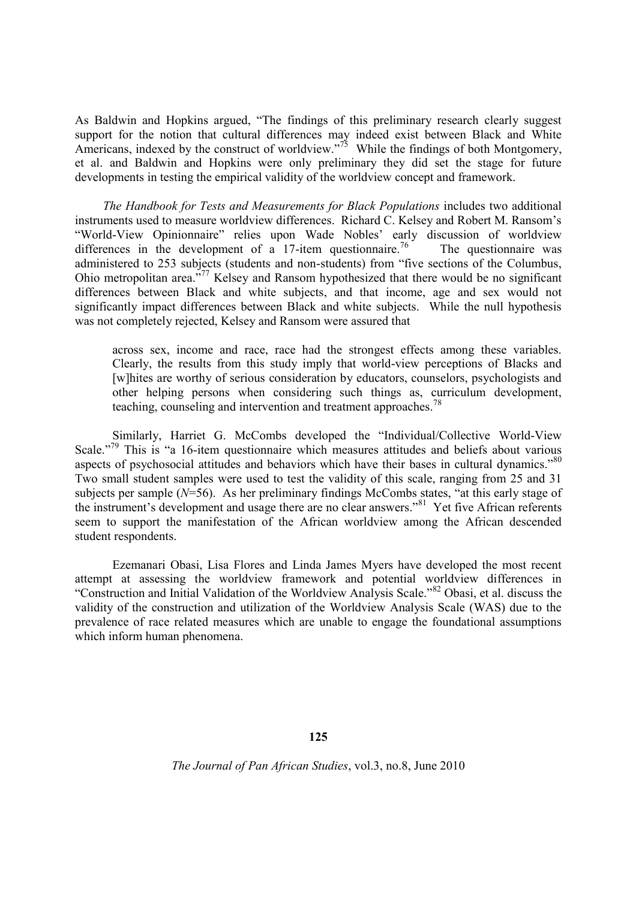As Baldwin and Hopkins argued, "The findings of this preliminary research clearly suggest support for the notion that cultural differences may indeed exist between Black and White Americans, indexed by the construct of worldview."<sup>75</sup> While the findings of both Montgomery, et al. and Baldwin and Hopkins were only preliminary they did set the stage for future developments in testing the empirical validity of the worldview concept and framework.

*The Handbook for Tests and Measurements for Black Populations* includes two additional instruments used to measure worldview differences. Richard C. Kelsey and Robert M. Ransom's "World-View Opinionnaire" relies upon Wade Nobles' early discussion of worldview differences in the development of a 17-item questionnaire.<sup>76</sup> The questionnaire was administered to 253 subjects (students and non-students) from "five sections of the Columbus, Ohio metropolitan area.<sup>"77</sup> Kelsey and Ransom hypothesized that there would be no significant differences between Black and white subjects, and that income, age and sex would not significantly impact differences between Black and white subjects. While the null hypothesis was not completely rejected, Kelsey and Ransom were assured that

across sex, income and race, race had the strongest effects among these variables. Clearly, the results from this study imply that world-view perceptions of Blacks and [w]hites are worthy of serious consideration by educators, counselors, psychologists and other helping persons when considering such things as, curriculum development, teaching, counseling and intervention and treatment approaches.<sup>78</sup>

Similarly, Harriet G. McCombs developed the "Individual/Collective World-View Scale."<sup>79</sup> This is "a 16-item questionnaire which measures attitudes and beliefs about various aspects of psychosocial attitudes and behaviors which have their bases in cultural dynamics."<sup>80</sup> Two small student samples were used to test the validity of this scale, ranging from 25 and 31 subjects per sample (*N*=56). As her preliminary findings McCombs states, "at this early stage of the instrument's development and usage there are no clear answers."<sup>81</sup> Yet five African referents seem to support the manifestation of the African worldview among the African descended student respondents.

Ezemanari Obasi, Lisa Flores and Linda James Myers have developed the most recent attempt at assessing the worldview framework and potential worldview differences in "Construction and Initial Validation of the Worldview Analysis Scale."<sup>82</sup> Obasi, et al. discuss the validity of the construction and utilization of the Worldview Analysis Scale (WAS) due to the prevalence of race related measures which are unable to engage the foundational assumptions which inform human phenomena.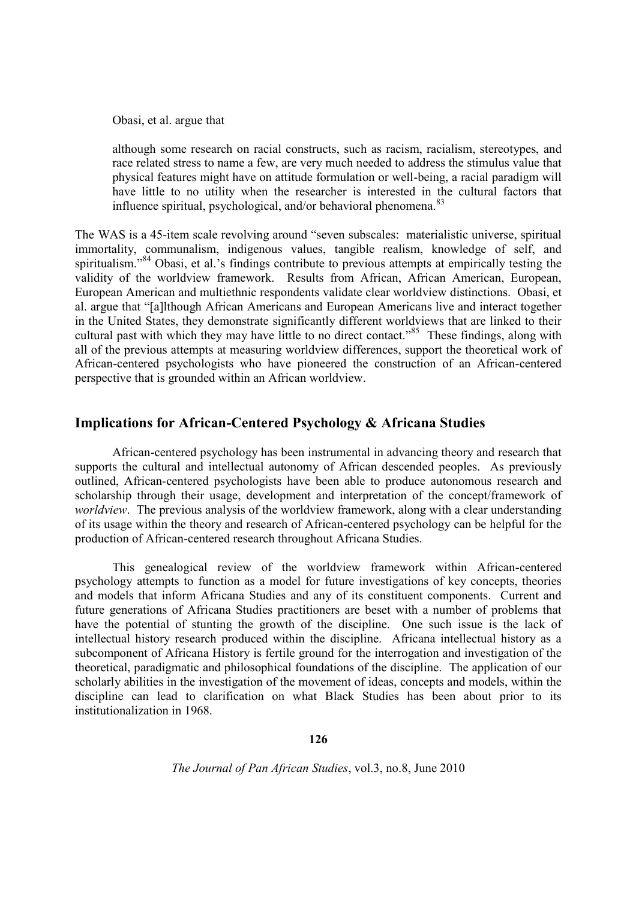Obasi, et al. argue that

although some research on racial constructs, such as racism, racialism, stereotypes, and race related stress to name a few, are very much needed to address the stimulus value that physical features might have on attitude formulation or well-being, a racial paradigm will have little to no utility when the researcher is interested in the cultural factors that influence spiritual, psychological, and/or behavioral phenomena. $83$ 

The WAS is a 45-item scale revolving around "seven subscales: materialistic universe, spiritual immortality, communalism, indigenous values, tangible realism, knowledge of self, and spiritualism."<sup>84</sup> Obasi, et al.'s findings contribute to previous attempts at empirically testing the validity of the worldview framework. Results from African, African American, European, European American and multiethnic respondents validate clear worldview distinctions. Obasi, et al. argue that "[a]lthough African Americans and European Americans live and interact together in the United States, they demonstrate significantly different worldviews that are linked to their cultural past with which they may have little to no direct contact."<sup>85</sup> These findings, along with all of the previous attempts at measuring worldview differences, support the theoretical work of African-centered psychologists who have pioneered the construction of an African-centered perspective that is grounded within an African worldview.

# **Implications for African-Centered Psychology & Africana Studies**

African-centered psychology has been instrumental in advancing theory and research that supports the cultural and intellectual autonomy of African descended peoples. As previously outlined, African-centered psychologists have been able to produce autonomous research and scholarship through their usage, development and interpretation of the concept/framework of *worldview*. The previous analysis of the worldview framework, along with a clear understanding of its usage within the theory and research of African-centered psychology can be helpful for the production of African-centered research throughout Africana Studies.

This genealogical review of the worldview framework within African-centered psychology attempts to function as a model for future investigations of key concepts, theories and models that inform Africana Studies and any of its constituent components. Current and future generations of Africana Studies practitioners are beset with a number of problems that have the potential of stunting the growth of the discipline. One such issue is the lack of intellectual history research produced within the discipline. Africana intellectual history as a subcomponent of Africana History is fertile ground for the interrogation and investigation of the theoretical, paradigmatic and philosophical foundations of the discipline. The application of our scholarly abilities in the investigation of the movement of ideas, concepts and models, within the discipline can lead to clarification on what Black Studies has been about prior to its institutionalization in 1968.

**126**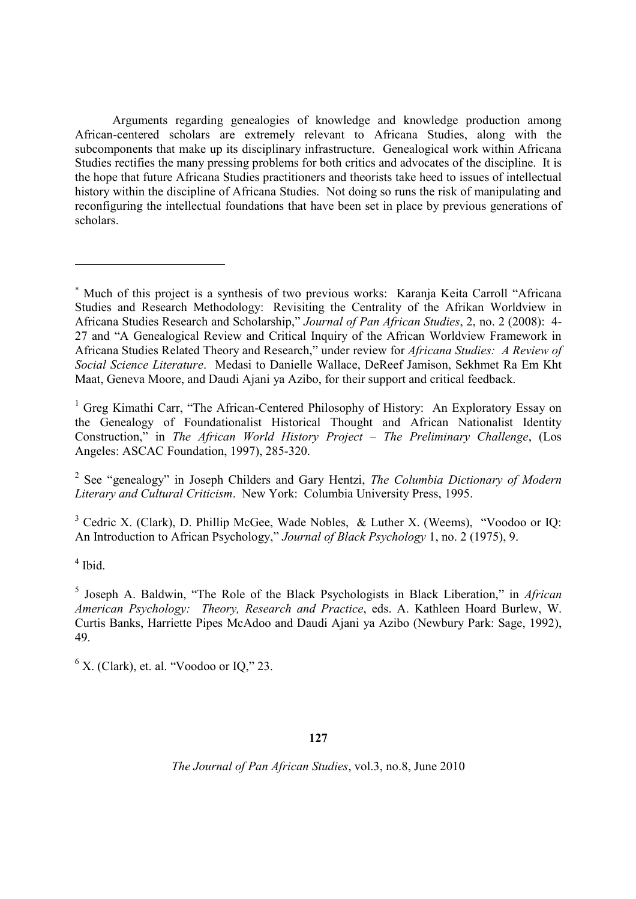Arguments regarding genealogies of knowledge and knowledge production among African-centered scholars are extremely relevant to Africana Studies, along with the subcomponents that make up its disciplinary infrastructure. Genealogical work within Africana Studies rectifies the many pressing problems for both critics and advocates of the discipline. It is the hope that future Africana Studies practitioners and theorists take heed to issues of intellectual history within the discipline of Africana Studies. Not doing so runs the risk of manipulating and reconfiguring the intellectual foundations that have been set in place by previous generations of scholars.

<sup>1</sup> Greg Kimathi Carr, "The African-Centered Philosophy of History: An Exploratory Essay on the Genealogy of Foundationalist Historical Thought and African Nationalist Identity Construction," in *The African World History Project – The Preliminary Challenge*, (Los Angeles: ASCAC Foundation, 1997), 285-320.

2 See "genealogy" in Joseph Childers and Gary Hentzi, *The Columbia Dictionary of Modern Literary and Cultural Criticism*. New York: Columbia University Press, 1995.

<sup>3</sup> Cedric X. (Clark), D. Phillip McGee, Wade Nobles, & Luther X. (Weems), "Voodoo or IQ: An Introduction to African Psychology," *Journal of Black Psychology* 1, no. 2 (1975), 9.

4 Ibid.

 $6$  X. (Clark), et. al. "Voodoo or IQ," 23.

## **127**

Much of this project is a synthesis of two previous works: Karanja Keita Carroll "Africana Studies and Research Methodology: Revisiting the Centrality of the Afrikan Worldview in Africana Studies Research and Scholarship," *Journal of Pan African Studies*, 2, no. 2 (2008): 4- 27 and "A Genealogical Review and Critical Inquiry of the African Worldview Framework in Africana Studies Related Theory and Research," under review for *Africana Studies: A Review of Social Science Literature*. Medasi to Danielle Wallace, DeReef Jamison, Sekhmet Ra Em Kht Maat, Geneva Moore, and Daudi Ajani ya Azibo, for their support and critical feedback.

<sup>5</sup> Joseph A. Baldwin, "The Role of the Black Psychologists in Black Liberation," in *African American Psychology: Theory, Research and Practice*, eds. A. Kathleen Hoard Burlew, W. Curtis Banks, Harriette Pipes McAdoo and Daudi Ajani ya Azibo (Newbury Park: Sage, 1992), 49.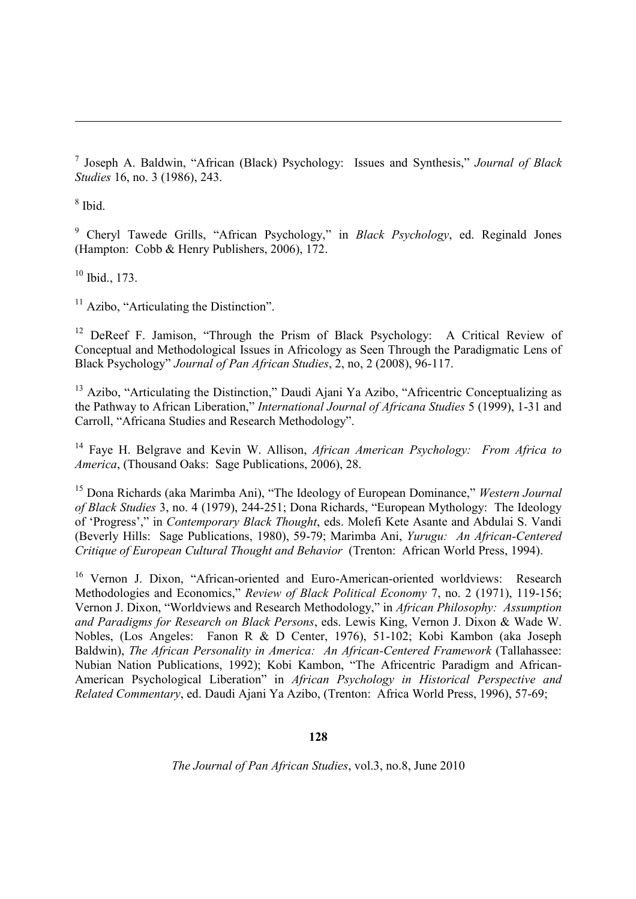7 Joseph A. Baldwin, "African (Black) Psychology: Issues and Synthesis," *Journal of Black Studies* 16, no. 3 (1986), 243.

8 Ibid.

<sup>9</sup> Cheryl Tawede Grills, "African Psychology," in *Black Psychology*, ed. Reginald Jones (Hampton: Cobb & Henry Publishers, 2006), 172.

 $10$  Ibid., 173.

 $11$  Azibo, "Articulating the Distinction".

<sup>12</sup> DeReef F. Jamison, "Through the Prism of Black Psychology: A Critical Review of Conceptual and Methodological Issues in Africology as Seen Through the Paradigmatic Lens of Black Psychology" *Journal of Pan African Studies*, 2, no, 2 (2008), 96-117.

<sup>13</sup> Azibo, "Articulating the Distinction," Daudi Ajani Ya Azibo, "Africentric Conceptualizing as the Pathway to African Liberation," *International Journal of Africana Studies* 5 (1999), 1-31 and Carroll, "Africana Studies and Research Methodology".

<sup>14</sup> Faye H. Belgrave and Kevin W. Allison, *African American Psychology: From Africa to America*, (Thousand Oaks: Sage Publications, 2006), 28.

<sup>15</sup> Dona Richards (aka Marimba Ani), "The Ideology of European Dominance," *Western Journal of Black Studies* 3, no. 4 (1979), 244-251; Dona Richards, "European Mythology: The Ideology of 'Progress'," in *Contemporary Black Thought*, eds. Molefi Kete Asante and Abdulai S. Vandi (Beverly Hills: Sage Publications, 1980), 59-79; Marimba Ani, *Yurugu: An African-Centered Critique of European Cultural Thought and Behavior* (Trenton: African World Press, 1994).

<sup>16</sup> Vernon J. Dixon, "African-oriented and Euro-American-oriented worldviews: Research Methodologies and Economics," *Review of Black Political Economy* 7, no. 2 (1971), 119-156; Vernon J. Dixon, "Worldviews and Research Methodology," in *African Philosophy: Assumption and Paradigms for Research on Black Persons*, eds. Lewis King, Vernon J. Dixon & Wade W. Nobles, (Los Angeles: Fanon R & D Center, 1976), 51-102; Kobi Kambon (aka Joseph Baldwin), *The African Personality in America: An African-Centered Framework* (Tallahassee: Nubian Nation Publications, 1992); Kobi Kambon, "The Africentric Paradigm and African-American Psychological Liberation" in *African Psychology in Historical Perspective and Related Commentary*, ed. Daudi Ajani Ya Azibo, (Trenton: Africa World Press, 1996), 57-69;

#### **128**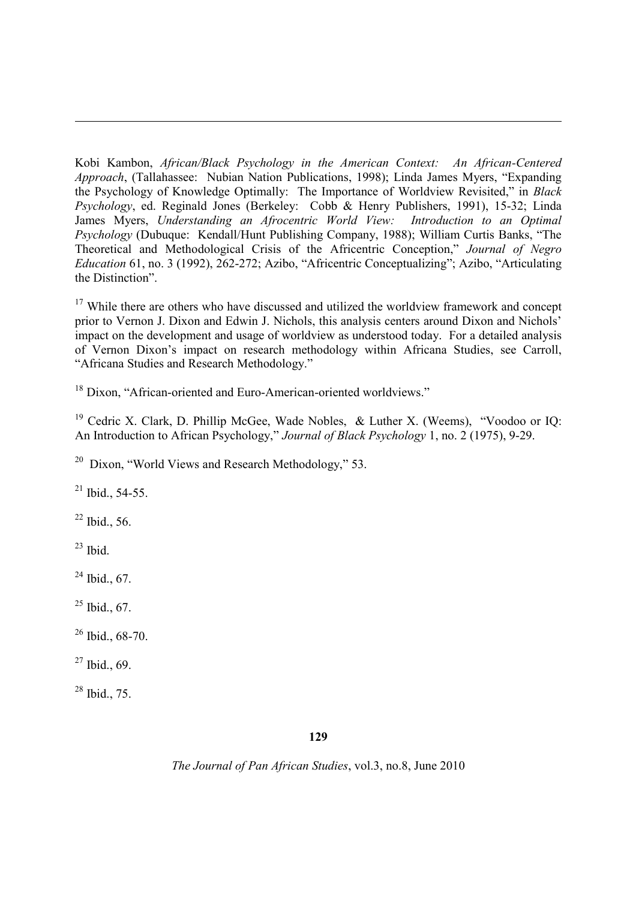Kobi Kambon, *African/Black Psychology in the American Context: An African-Centered Approach*, (Tallahassee: Nubian Nation Publications, 1998); Linda James Myers, "Expanding the Psychology of Knowledge Optimally: The Importance of Worldview Revisited," in *Black Psychology*, ed. Reginald Jones (Berkeley: Cobb & Henry Publishers, 1991), 15-32; Linda James Myers, *Understanding an Afrocentric World View: Introduction to an Optimal Psychology* (Dubuque: Kendall/Hunt Publishing Company, 1988); William Curtis Banks, "The Theoretical and Methodological Crisis of the Africentric Conception," *Journal of Negro Education* 61, no. 3 (1992), 262-272; Azibo, "Africentric Conceptualizing"; Azibo, "Articulating the Distinction".

 $17$  While there are others who have discussed and utilized the worldview framework and concept prior to Vernon J. Dixon and Edwin J. Nichols, this analysis centers around Dixon and Nichols' impact on the development and usage of worldview as understood today. For a detailed analysis of Vernon Dixon's impact on research methodology within Africana Studies, see Carroll, "Africana Studies and Research Methodology."

<sup>18</sup> Dixon, "African-oriented and Euro-American-oriented worldviews."

<sup>19</sup> Cedric X. Clark, D. Phillip McGee, Wade Nobles, & Luther X. (Weems), "Voodoo or IQ: An Introduction to African Psychology," *Journal of Black Psychology* 1, no. 2 (1975), 9-29.

<sup>20</sup> Dixon, "World Views and Research Methodology," 53.

 $^{21}$  Ibid., 54-55.

 $^{22}$  Ibid., 56.

 $23$  Ibid.

 $^{24}$  Ibid., 67.

- $25$  Ibid., 67.
- $26$  Ibid., 68-70.
- $27$  Ibid., 69.

 $28$  Ibid., 75.

**129**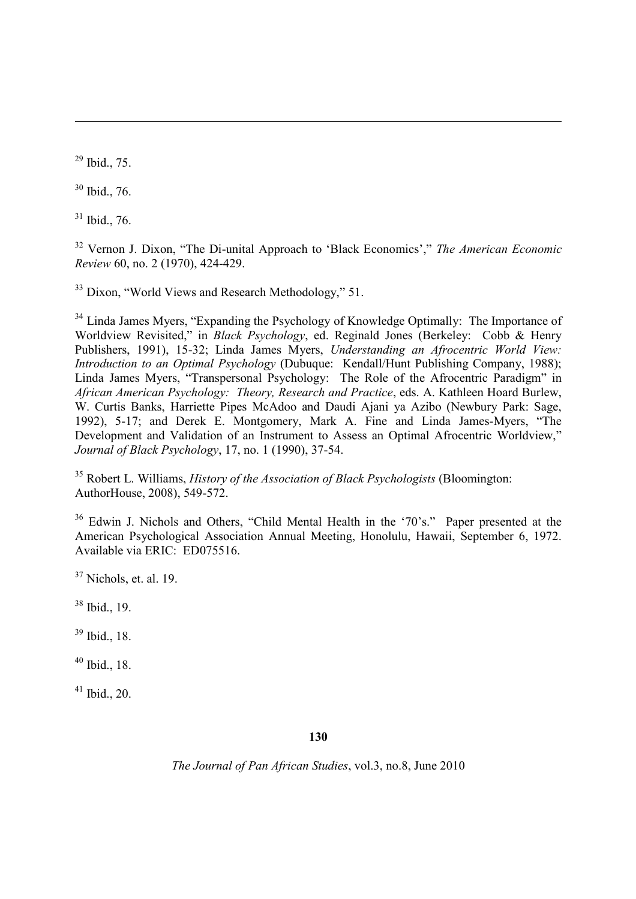<sup>29</sup> Ibid., 75.

<sup>30</sup> Ibid., 76.

 $31$  Ibid., 76.

<sup>32</sup> Vernon J. Dixon, "The Di-unital Approach to 'Black Economics'," *The American Economic Review* 60, no. 2 (1970), 424-429.

<sup>33</sup> Dixon, "World Views and Research Methodology," 51.

<sup>34</sup> Linda James Myers, "Expanding the Psychology of Knowledge Optimally: The Importance of Worldview Revisited," in *Black Psychology*, ed. Reginald Jones (Berkeley: Cobb & Henry Publishers, 1991), 15-32; Linda James Myers, *Understanding an Afrocentric World View: Introduction to an Optimal Psychology* (Dubuque: Kendall/Hunt Publishing Company, 1988); Linda James Myers, "Transpersonal Psychology: The Role of the Afrocentric Paradigm" in *African American Psychology: Theory, Research and Practice*, eds. A. Kathleen Hoard Burlew, W. Curtis Banks, Harriette Pipes McAdoo and Daudi Ajani ya Azibo (Newbury Park: Sage, 1992), 5-17; and Derek E. Montgomery, Mark A. Fine and Linda James-Myers, "The Development and Validation of an Instrument to Assess an Optimal Afrocentric Worldview," *Journal of Black Psychology*, 17, no. 1 (1990), 37-54.

<sup>35</sup> Robert L. Williams, *History of the Association of Black Psychologists* (Bloomington: AuthorHouse, 2008), 549-572.

<sup>36</sup> Edwin J. Nichols and Others, "Child Mental Health in the '70's." Paper presented at the American Psychological Association Annual Meeting, Honolulu, Hawaii, September 6, 1972. Available via ERIC: ED075516.

 $37$  Nichols, et. al. 19.

<sup>38</sup> Ibid., 19.

<sup>39</sup> Ibid., 18.

 $40$  Ibid., 18.

 $41$  Ibid., 20.

**130**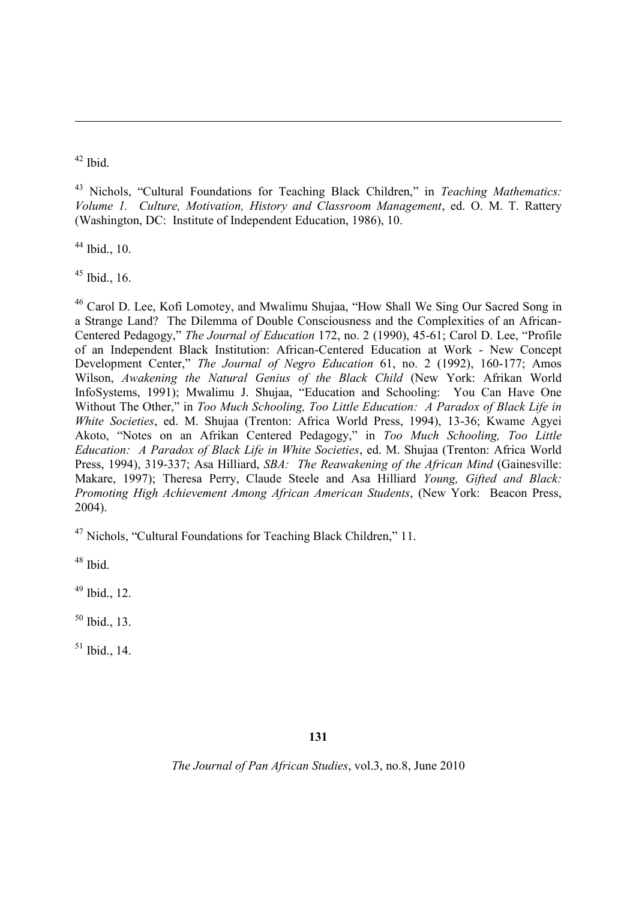$42$  Ibid.

<sup>43</sup> Nichols, "Cultural Foundations for Teaching Black Children," in *Teaching Mathematics: Volume 1. Culture, Motivation, History and Classroom Management*, ed. O. M. T. Rattery (Washington, DC: Institute of Independent Education, 1986), 10.

 $44$  Ibid., 10.

 $45$  Ibid., 16.

<sup>46</sup> Carol D. Lee, Kofi Lomotey, and Mwalimu Shujaa, "How Shall We Sing Our Sacred Song in a Strange Land? The Dilemma of Double Consciousness and the Complexities of an African-Centered Pedagogy," *The Journal of Education* 172, no. 2 (1990), 45-61; Carol D. Lee, "Profile of an Independent Black Institution: African-Centered Education at Work - New Concept Development Center," *The Journal of Negro Education* 61, no. 2 (1992), 160-177; Amos Wilson, *Awakening the Natural Genius of the Black Child* (New York: Afrikan World InfoSystems, 1991); Mwalimu J. Shujaa, "Education and Schooling: You Can Have One Without The Other," in *Too Much Schooling, Too Little Education: A Paradox of Black Life in White Societies*, ed. M. Shujaa (Trenton: Africa World Press, 1994), 13-36; Kwame Agyei Akoto, "Notes on an Afrikan Centered Pedagogy," in *Too Much Schooling, Too Little Education: A Paradox of Black Life in White Societies*, ed. M. Shujaa (Trenton: Africa World Press, 1994), 319-337; Asa Hilliard, *SBA: The Reawakening of the African Mind* (Gainesville: Makare, 1997); Theresa Perry, Claude Steele and Asa Hilliard *Young, Gifted and Black: Promoting High Achievement Among African American Students*, (New York: Beacon Press, 2004).

<sup>47</sup> Nichols, "Cultural Foundations for Teaching Black Children," 11.

<sup>48</sup> Ibid.

 $49$  Ibid., 12.

<sup>50</sup> Ibid., 13.

 $51$  Ibid., 14.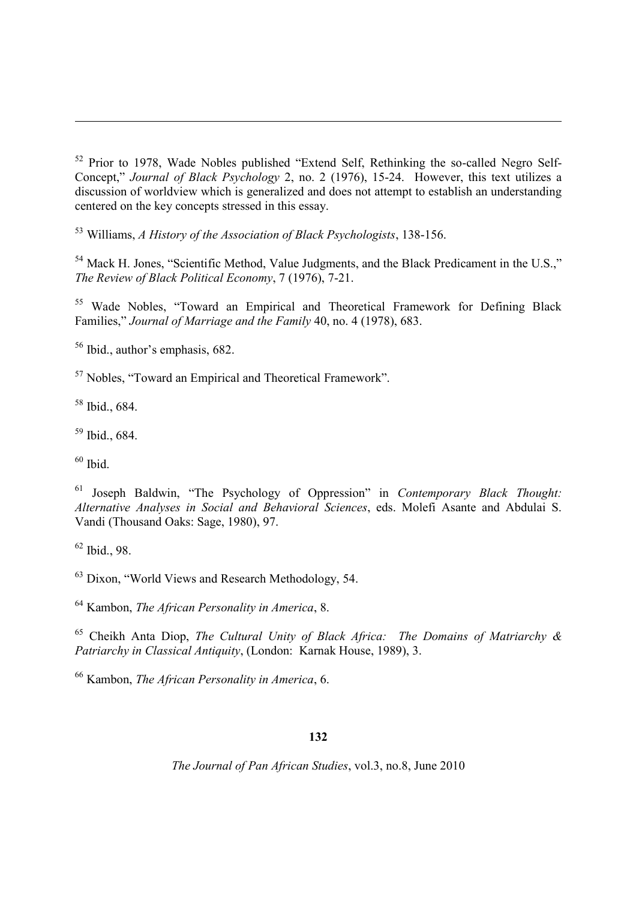<sup>53</sup> Williams, *A History of the Association of Black Psychologists*, 138-156.

<sup>54</sup> Mack H. Jones, "Scientific Method, Value Judgments, and the Black Predicament in the U.S.," *The Review of Black Political Economy*, 7 (1976), 7-21.

<sup>55</sup> Wade Nobles, "Toward an Empirical and Theoretical Framework for Defining Black Families," *Journal of Marriage and the Family* 40, no. 4 (1978), 683.

<sup>56</sup> Ibid., author's emphasis, 682.

<sup>57</sup> Nobles, "Toward an Empirical and Theoretical Framework".

 $58$  Ibid., 684.

<sup>59</sup> Ibid., 684.

 $60$  Ibid.

<sup>61</sup> Joseph Baldwin, "The Psychology of Oppression" in *Contemporary Black Thought: Alternative Analyses in Social and Behavioral Sciences*, eds. Molefi Asante and Abdulai S. Vandi (Thousand Oaks: Sage, 1980), 97.

<sup>62</sup> Ibid., 98.

<sup>63</sup> Dixon, "World Views and Research Methodology, 54.

<sup>64</sup> Kambon, *The African Personality in America*, 8.

<sup>65</sup> Cheikh Anta Diop, *The Cultural Unity of Black Africa: The Domains of Matriarchy & Patriarchy in Classical Antiquity*, (London: Karnak House, 1989), 3.

<sup>66</sup> Kambon, *The African Personality in America*, 6.

## **132**

<sup>52</sup> Prior to 1978, Wade Nobles published "Extend Self, Rethinking the so-called Negro Self-Concept," *Journal of Black Psychology* 2, no. 2 (1976), 15-24. However, this text utilizes a discussion of worldview which is generalized and does not attempt to establish an understanding centered on the key concepts stressed in this essay.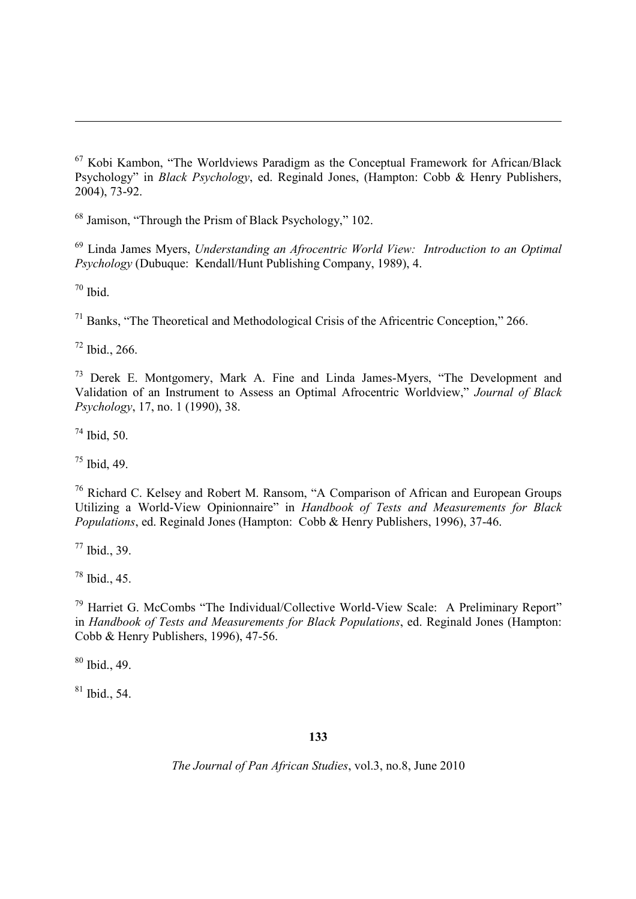Jamison, "Through the Prism of Black Psychology," 102.

 Linda James Myers, *Understanding an Afrocentric World View: Introduction to an Optimal Psychology* (Dubuque: Kendall/Hunt Publishing Company, 1989), 4.

Ibid.

Banks, "The Theoretical and Methodological Crisis of the Africentric Conception," 266.

Ibid., 266.

 Derek E. Montgomery, Mark A. Fine and Linda James-Myers, "The Development and Validation of an Instrument to Assess an Optimal Afrocentric Worldview," *Journal of Black Psychology*, 17, no. 1 (1990), 38.

Ibid, 50.

Ibid, 49.

 Richard C. Kelsey and Robert M. Ransom, "A Comparison of African and European Groups Utilizing a World-View Opinionnaire" in *Handbook of Tests and Measurements for Black Populations*, ed. Reginald Jones (Hampton: Cobb & Henry Publishers, 1996), 37-46.

Ibid., 39.

Ibid., 45.

 Harriet G. McCombs "The Individual/Collective World-View Scale: A Preliminary Report" in *Handbook of Tests and Measurements for Black Populations*, ed. Reginald Jones (Hampton: Cobb & Henry Publishers, 1996), 47-56.

Ibid., 49.

Ibid., 54.

# 

 Kobi Kambon, "The Worldviews Paradigm as the Conceptual Framework for African/Black Psychology" in *Black Psychology*, ed. Reginald Jones, (Hampton: Cobb & Henry Publishers, 2004), 73-92.